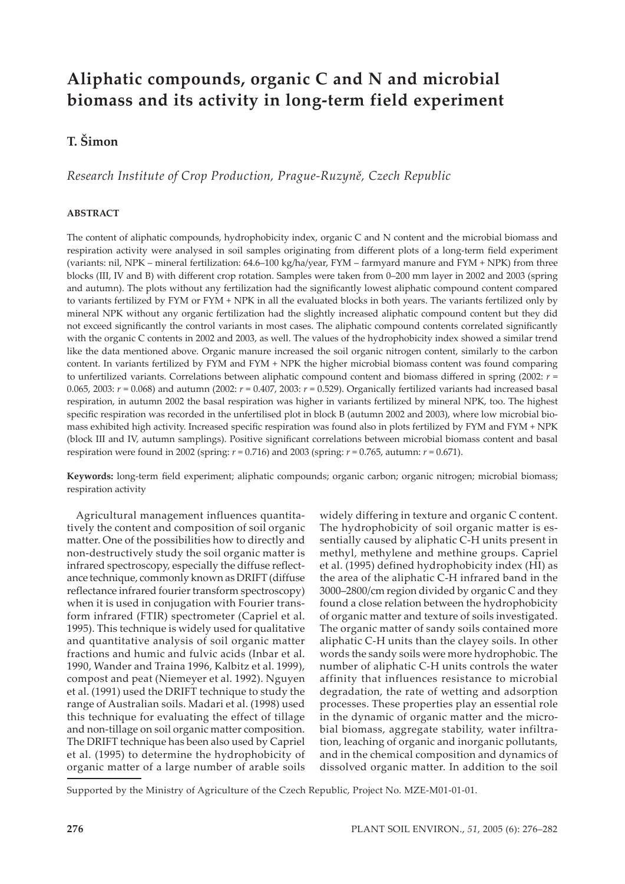# **Aliphatic compounds, organic C and N and microbial biomass and its activity in long-term field experiment**

# **T. Šimon**

*Research Institute of Crop Production, Prague-Ruzyně, Czech Republic*

# **ABSTRACT**

The content of aliphatic compounds, hydrophobicity index, organic C and N content and the microbial biomass and respiration activity were analysed in soil samples originating from different plots of a long-term field experiment (variants: nil, NPK – mineral fertilization: 64.6–100 kg/ha/year, FYM – farmyard manure and FYM + NPK) from three blocks (III, IV and B) with different crop rotation. Samples were taken from 0–200 mm layer in 2002 and 2003 (spring and autumn). The plots without any fertilization had the significantly lowest aliphatic compound content compared to variants fertilized by FYM or FYM + NPK in all the evaluated blocks in both years. The variants fertilized only by mineral NPK without any organic fertilization had the slightly increased aliphatic compound content but they did not exceed significantly the control variants in most cases. The aliphatic compound contents correlated significantly with the organic C contents in 2002 and 2003, as well. The values of the hydrophobicity index showed a similar trend like the data mentioned above. Organic manure increased the soil organic nitrogen content, similarly to the carbon content. In variants fertilized by FYM and FYM + NPK the higher microbial biomass content was found comparing to unfertilized variants. Correlations between aliphatic compound content and biomass differed in spring (2002: *r* = 0.065, 2003: *r* = 0.068) and autumn (2002: *r* = 0.407, 2003: *r* = 0.529). Organically fertilized variants had increased basal respiration, in autumn 2002 the basal respiration was higher in variants fertilized by mineral NPK, too. The highest specific respiration was recorded in the unfertilised plot in block B (autumn 2002 and 2003), where low microbial biomass exhibited high activity. Increased specific respiration was found also in plots fertilized by FYM and FYM + NPK (block III and IV, autumn samplings). Positive significant correlations between microbial biomass content and basal respiration were found in 2002 (spring: *r* = 0.716) and 2003 (spring: *r* = 0.765, autumn: *r* = 0.671).

**Keywords:** long-term field experiment; aliphatic compounds; organic carbon; organic nitrogen; microbial biomass; respiration activity

Agricultural management influences quantitatively the content and composition of soil organic matter. One of the possibilities how to directly and non-destructively study the soil organic matter is infrared spectroscopy, especially the diffuse reflectance technique, commonly known as DRIFT (diffuse reflectance infrared fourier transform spectroscopy) when it is used in conjugation with Fourier transform infrared (FTIR) spectrometer (Capriel et al. 1995). This technique is widely used for qualitative and quantitative analysis of soil organic matter fractions and humic and fulvic acids (Inbar et al. 1990, Wander and Traina 1996, Kalbitz et al. 1999), compost and peat (Niemeyer et al. 1992). Nguyen et al. (1991) used the DRIFT technique to study the range of Australian soils. Madari et al. (1998) used this technique for evaluating the effect of tillage and non-tillage on soil organic matter composition. The DRIFT technique has been also used by Capriel et al. (1995) to determine the hydrophobicity of organic matter of a large number of arable soils

widely differing in texture and organic C content. The hydrophobicity of soil organic matter is essentially caused by aliphatic C-H units present in methyl, methylene and methine groups. Capriel et al. (1995) defined hydrophobicity index (HI) as the area of the aliphatic C-H infrared band in the 3000–2800/cm region divided by organic C and they found a close relation between the hydrophobicity of organic matter and texture of soils investigated. The organic matter of sandy soils contained more aliphatic C-H units than the clayey soils. In other words the sandy soils were more hydrophobic. The number of aliphatic C-H units controls the water affinity that influences resistance to microbial degradation, the rate of wetting and adsorption processes. These properties play an essential role in the dynamic of organic matter and the microbial biomass, aggregate stability, water infiltration, leaching of organic and inorganic pollutants, and in the chemical composition and dynamics of dissolved organic matter. In addition to the soil

Supported by the Ministry of Agriculture of the Czech Republic, Project No. MZE-M01-01-01.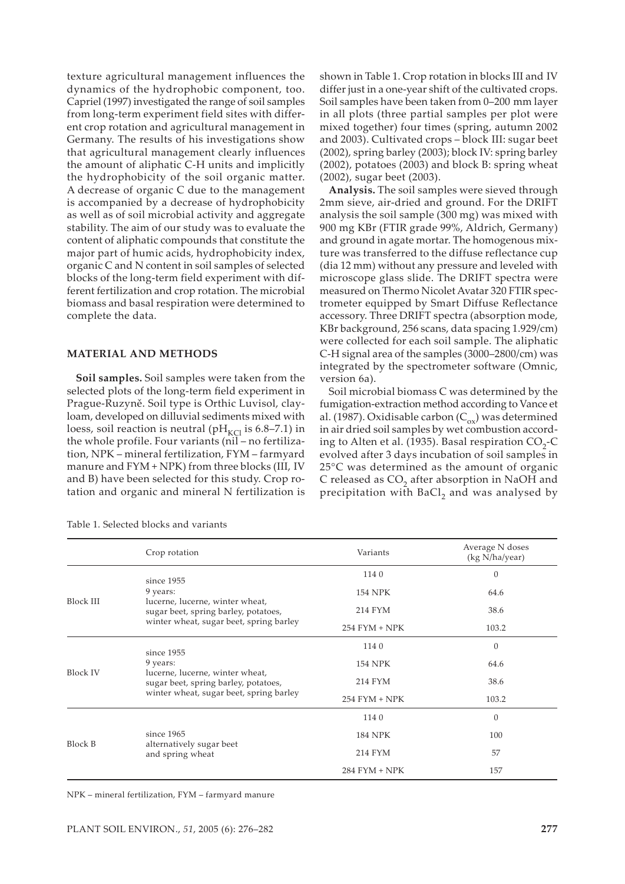texture agricultural management influences the dynamics of the hydrophobic component, too. Capriel (1997) investigated the range of soil samples from long-term experiment field sites with different crop rotation and agricultural management in Germany. The results of his investigations show that agricultural management clearly influences the amount of aliphatic C-H units and implicitly the hydrophobicity of the soil organic matter. A decrease of organic C due to the management is accompanied by a decrease of hydrophobicity as well as of soil microbial activity and aggregate stability. The aim of our study was to evaluate the content of aliphatic compounds that constitute the major part of humic acids, hydrophobicity index, organic C and N content in soil samples of selected blocks of the long-term field experiment with different fertilization and crop rotation. The microbial biomass and basal respiration were determined to complete the data.

### **MATERIAL AND METHODS**

**Soil samples.** Soil samples were taken from the selected plots of the long-term field experiment in Prague-Ruzyně. Soil type is Orthic Luvisol, clayloam, developed on dilluvial sediments mixed with loess, soil reaction is neutral ( $pH_{\text{KCl}}$  is 6.8–7.1) in the whole profile. Four variants (nil – no fertilization, NPK – mineral fertilization, FYM – farmyard manure and FYM + NPK) from three blocks (III, IV and B) have been selected for this study. Crop rotation and organic and mineral N fertilization is

Table 1. Selected blocks and variants

shown in Table 1. Crop rotation in blocks III and IV differ just in a one-year shift of the cultivated crops. Soil samples have been taken from 0–200 mm layer in all plots (three partial samples per plot were mixed together) four times (spring, autumn 2002 and 2003). Cultivated crops – block III: sugar beet (2002), spring barley (2003); block IV: spring barley (2002), potatoes (2003) and block B: spring wheat (2002), sugar beet (2003).

**Analysis.** The soil samples were sieved through 2mm sieve, air-dried and ground. For the DRIFT analysis the soil sample (300 mg) was mixed with 900 mg KBr (FTIR grade 99%, Aldrich, Germany) and ground in agate mortar. The homogenous mixture was transferred to the diffuse reflectance cup (dia 12 mm) without any pressure and leveled with microscope glass slide. The DRIFT spectra were measured on Thermo Nicolet Avatar 320 FTIR spectrometer equipped by Smart Diffuse Reflectance accessory. Three DRIFT spectra (absorption mode, KBr background, 256 scans, data spacing 1.929/cm) were collected for each soil sample. The aliphatic C-H signal area of the samples (3000–2800/cm) was integrated by the spectrometer software (Omnic, version 6a).

Soil microbial biomass C was determined by the fumigation-extraction method according to Vance et al. (1987). Oxidisable carbon ( $C_{ox}$ ) was determined in air dried soil samples by wet combustion according to Alten et al. (1935). Basal respiration  $CO<sub>2</sub>-C$ evolved after 3 days incubation of soil samples in 25°C was determined as the amount of organic C released as CO<sub>2</sub> after absorption in NaOH and precipitation with BaCl<sub>2</sub> and was analysed by

|                  | Crop rotation                                                           | Variants        | Average N doses<br>(kg N/ha/year) |
|------------------|-------------------------------------------------------------------------|-----------------|-----------------------------------|
|                  | since 1955                                                              | 1140            | $\theta$                          |
| <b>Block III</b> | 9 years:                                                                | <b>154 NPK</b>  | 64.6                              |
|                  | lucerne, lucerne, winter wheat,<br>sugar beet, spring barley, potatoes, | 214 FYM         | 38.6                              |
|                  | winter wheat, sugar beet, spring barley                                 | $254$ FYM + NPK | 103.2                             |
| <b>Block IV</b>  | since 1955                                                              | 1140            | $\theta$                          |
|                  | 9 years:                                                                | <b>154 NPK</b>  | 64.6                              |
|                  | lucerne, lucerne, winter wheat,<br>sugar beet, spring barley, potatoes, | 214 FYM         | 38.6                              |
|                  | winter wheat, sugar beet, spring barley                                 | $254$ FYM + NPK | 103.2                             |
|                  |                                                                         | 1140            | $\theta$                          |
| <b>Block B</b>   | since 1965                                                              | <b>184 NPK</b>  | 100                               |
|                  | alternatively sugar beet<br>and spring wheat                            | 214 FYM         | 57                                |
|                  |                                                                         | $284$ FYM + NPK | 157                               |

NPK – mineral fertilization, FYM – farmyard manure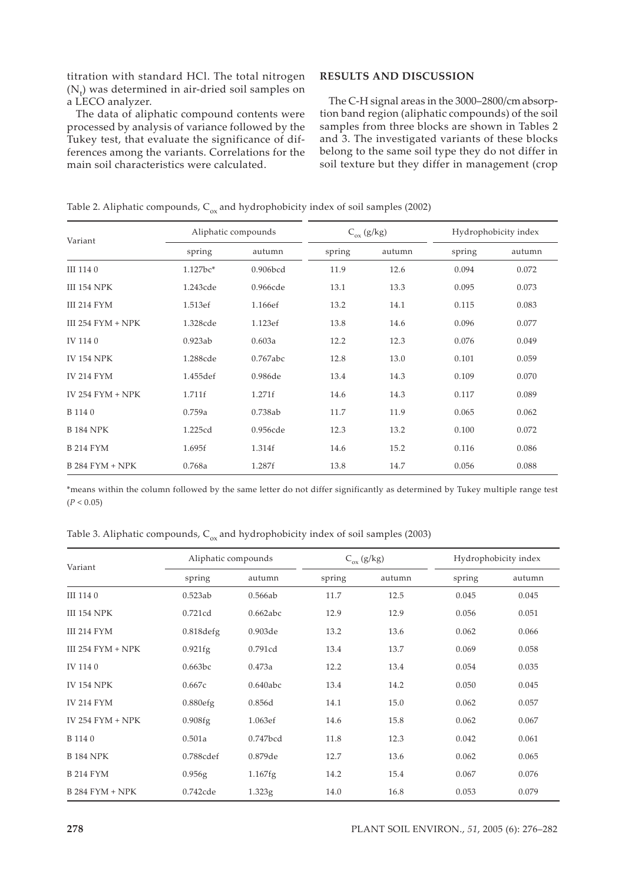titration with standard HCl. The total nitrogen  $(N_t)$  was determined in air-dried soil samples on a LECO analyzer.

The data of aliphatic compound contents were processed by analysis of variance followed by the Tukey test, that evaluate the significance of differences among the variants. Correlations for the main soil characteristics were calculated.

# **RESULTS AND DISCUSSION**

The C-H signal areas in the 3000–2800/cmabsorption band region (aliphatic compounds) of the soil samples from three blocks are shown in Tables 2 and 3. The investigated variants of these blocks belong to the same soil type they do not differ in soil texture but they differ in management (crop

Table 2. Aliphatic compounds,  $C_{ox}$  and hydrophobicity index of soil samples (2002)

| Variant                | Aliphatic compounds |          | $C_{ox}$ (g/kg) |        | Hydrophobicity index |        |
|------------------------|---------------------|----------|-----------------|--------|----------------------|--------|
|                        | spring              | autumn   | spring          | autumn | spring               | autumn |
| III 1140               | 1.127bc*            | 0.906bcd | 11.9            | 12.6   | 0.094                | 0.072  |
| <b>III 154 NPK</b>     | 1.243cde            | 0.966cde | 13.1            | 13.3   | 0.095                | 0.073  |
| <b>III 214 FYM</b>     | 1.513ef             | 1.166ef  | 13.2            | 14.1   | 0.115                | 0.083  |
| III 254 $FYM + NPK$    | 1.328cde            | 1.123ef  | 13.8            | 14.6   | 0.096                | 0.077  |
| IV 1140                | 0.923ab             | 0.603a   | 12.2            | 12.3   | 0.076                | 0.049  |
| <b>IV 154 NPK</b>      | 1.288cde            | 0.767abc | 12.8            | 13.0   | 0.101                | 0.059  |
| <b>IV 214 FYM</b>      | 1.455def            | 0.986de  | 13.4            | 14.3   | 0.109                | 0.070  |
| IV 254 $FYM + NPK$     | 1.711f              | 1.271f   | 14.6            | 14.3   | 0.117                | 0.089  |
| B 114 0                | 0.759a              | 0.738ab  | 11.7            | 11.9   | 0.065                | 0.062  |
| <b>B 184 NPK</b>       | 1.225cd             | 0.956cde | 12.3            | 13.2   | 0.100                | 0.072  |
| <b>B214 FYM</b>        | 1.695f              | 1.314f   | 14.6            | 15.2   | 0.116                | 0.086  |
| <b>B 284 FYM + NPK</b> | 0.768a              | 1.287f   | 13.8            | 14.7   | 0.056                | 0.088  |

\*means within the column followed by the same letter do not differ significantly as determined by Tukey multiple range test  $(P < 0.05)$ 

Table 3. Aliphatic compounds,  $C_{ox}$  and hydrophobicity index of soil samples (2003)

| Variant             | Aliphatic compounds |            | $C_{ox}$ (g/kg) |        | Hydrophobicity index |        |
|---------------------|---------------------|------------|-----------------|--------|----------------------|--------|
|                     | spring              | autumn     | spring          | autumn | spring               | autumn |
| III 1140            | 0.523ab             | 0.566ab    | 11.7            | 12.5   | 0.045                | 0.045  |
| <b>III 154 NPK</b>  | 0.721cd             | 0.662abc   | 12.9            | 12.9   | 0.056                | 0.051  |
| <b>III 214 FYM</b>  | $0.818$ defg        | 0.903de    | 13.2            | 13.6   | 0.062                | 0.066  |
| III 254 $FYM + NPK$ | 0.921fg             | 0.791cd    | 13.4            | 13.7   | 0.069                | 0.058  |
| IV 1140             | 0.663bc             | 0.473a     | 12.2            | 13.4   | 0.054                | 0.035  |
| <b>IV 154 NPK</b>   | 0.667c              | 0.640abc   | 13.4            | 14.2   | 0.050                | 0.045  |
| <b>IV 214 FYM</b>   | $0.880$ efg         | 0.856d     | 14.1            | 15.0   | 0.062                | 0.057  |
| IV $254$ FYM + NPK  | 0.908fg             | 1.063ef    | 14.6            | 15.8   | 0.062                | 0.067  |
| B 114 0             | 0.501a              | 0.747bcd   | 11.8            | 12.3   | 0.042                | 0.061  |
| <b>B 184 NPK</b>    | 0.788cdef           | 0.879de    | 12.7            | 13.6   | 0.062                | 0.065  |
| <b>B214 FYM</b>     | 0.956g              | $1.167$ fg | 14.2            | 15.4   | 0.067                | 0.076  |
| $B$ 284 FYM + NPK   | 0.742cde            | 1.323g     | 14.0            | 16.8   | 0.053                | 0.079  |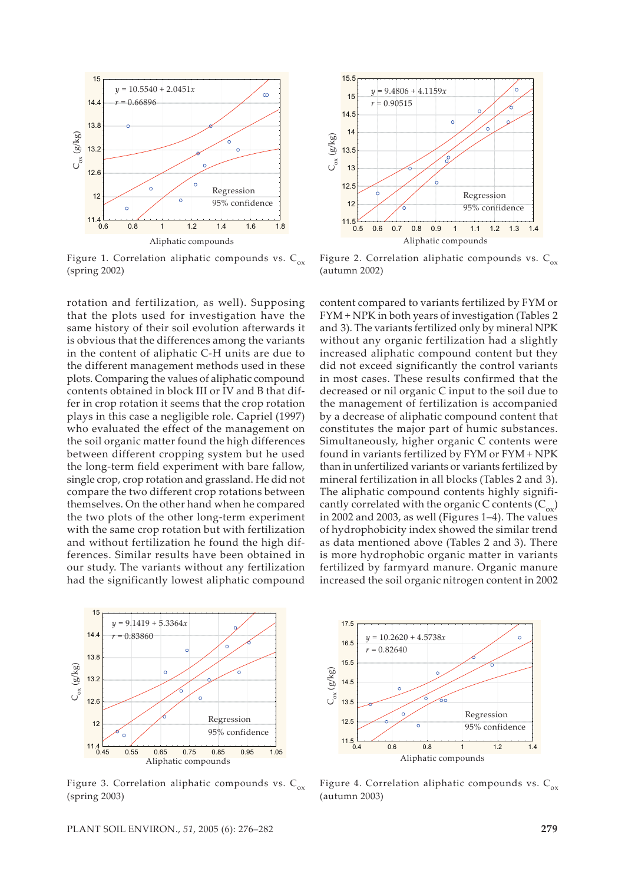

Figure 1. Correlation aliphatic compounds vs.  $C_{ox}$ (spring 2002)

rotation and fertilization, as well). Supposing that the plots used for investigation have the same history of their soil evolution afterwards it is obvious that the differences among the variants in the content of aliphatic C-H units are due to the different management methods used in these plots. Comparing the values of aliphatic compound contents obtained in block III or IV and B that differ in crop rotation it seems that the crop rotation plays in this case a negligible role. Capriel (1997) who evaluated the effect of the management on the soil organic matter found the high differences between different cropping system but he used the long-term field experiment with bare fallow, single crop, crop rotation and grassland. He did not compare the two different crop rotations between themselves. On the other hand when he compared the two plots of the other long-term experiment with the same crop rotation but with fertilization and without fertilization he found the high differences. Similar results have been obtained in our study. The variants without any fertilization had the significantly lowest aliphatic compound



Figure 3. Correlation aliphatic compounds vs.  $C_{ox}$ (spring 2003)



Figure 2. Correlation aliphatic compounds vs.  $C_{ox}$ (autumn 2002)

content compared to variants fertilized by FYM or FYM + NPK in both years of investigation (Tables 2 and 3). The variants fertilized only by mineral NPK without any organic fertilization had a slightly increased aliphatic compound content but they did not exceed significantly the control variants in most cases. These results confirmed that the decreased or nil organic C input to the soil due to the management of fertilization is accompanied by a decrease of aliphatic compound content that constitutes the major part of humic substances. Simultaneously, higher organic C contents were found in variants fertilized by FYM or FYM + NPK than in unfertilized variants or variants fertilized by mineral fertilization in all blocks (Tables 2 and 3). The aliphatic compound contents highly significantly correlated with the organic C contents  $(C_{\infty})$ in 2002 and 2003, as well (Figures 1–4). The values of hydrophobicity index showed the similar trend as data mentioned above (Tables 2 and 3). There is more hydrophobic organic matter in variants fertilized by farmyard manure. Organic manure increased the soil organic nitrogen content in 2002



Figure 4. Correlation aliphatic compounds vs.  $C_{ox}$ (autumn 2003)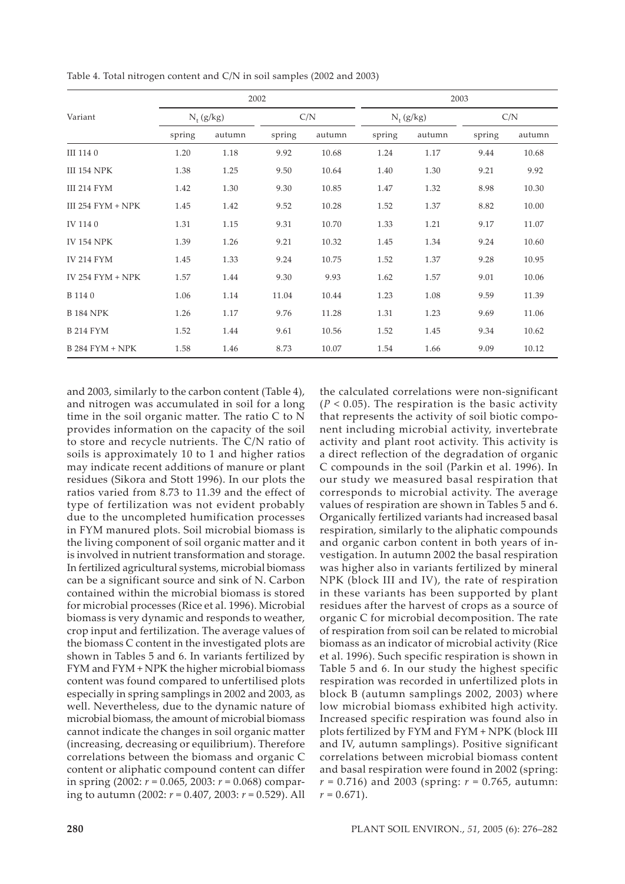|                     | 2002         |        |        |        | 2003   |              |        |        |  |
|---------------------|--------------|--------|--------|--------|--------|--------------|--------|--------|--|
| Variant             | $N_t$ (g/kg) |        |        | C/N    |        | $N_t$ (g/kg) |        | C/N    |  |
|                     | spring       | autumn | spring | autumn | spring | autumn       | spring | autumn |  |
| III 1140            | 1.20         | 1.18   | 9.92   | 10.68  | 1.24   | 1.17         | 9.44   | 10.68  |  |
| <b>III 154 NPK</b>  | 1.38         | 1.25   | 9.50   | 10.64  | 1.40   | 1.30         | 9.21   | 9.92   |  |
| <b>III 214 FYM</b>  | 1.42         | 1.30   | 9.30   | 10.85  | 1.47   | 1.32         | 8.98   | 10.30  |  |
| III 254 $FYM + NPK$ | 1.45         | 1.42   | 9.52   | 10.28  | 1.52   | 1.37         | 8.82   | 10.00  |  |
| IV 1140             | 1.31         | 1.15   | 9.31   | 10.70  | 1.33   | 1.21         | 9.17   | 11.07  |  |
| <b>IV 154 NPK</b>   | 1.39         | 1.26   | 9.21   | 10.32  | 1.45   | 1.34         | 9.24   | 10.60  |  |
| <b>IV 214 FYM</b>   | 1.45         | 1.33   | 9.24   | 10.75  | 1.52   | 1.37         | 9.28   | 10.95  |  |
| IV 254 $FYM + NPK$  | 1.57         | 1.44   | 9.30   | 9.93   | 1.62   | 1.57         | 9.01   | 10.06  |  |
| B 114 0             | 1.06         | 1.14   | 11.04  | 10.44  | 1.23   | 1.08         | 9.59   | 11.39  |  |
| <b>B</b> 184 NPK    | 1.26         | 1.17   | 9.76   | 11.28  | 1.31   | 1.23         | 9.69   | 11.06  |  |
| <b>B214 FYM</b>     | 1.52         | 1.44   | 9.61   | 10.56  | 1.52   | 1.45         | 9.34   | 10.62  |  |
| $B$ 284 FYM + NPK   | 1.58         | 1.46   | 8.73   | 10.07  | 1.54   | 1.66         | 9.09   | 10.12  |  |

Table 4. Total nitrogen content and C/N in soil samples (2002 and 2003)

and 2003, similarly to the carbon content (Table 4), and nitrogen was accumulated in soil for a long time in the soil organic matter. The ratio C to N provides information on the capacity of the soil to store and recycle nutrients. The C/N ratio of soils is approximately 10 to 1 and higher ratios may indicate recent additions of manure or plant residues (Sikora and Stott 1996). In our plots the ratios varied from 8.73 to 11.39 and the effect of type of fertilization was not evident probably due to the uncompleted humification processes in FYM manured plots. Soil microbial biomass is the living component of soil organic matter and it is involved in nutrient transformation and storage. In fertilized agricultural systems, microbial biomass can be a significant source and sink of N. Carbon contained within the microbial biomass is stored for microbial processes (Rice et al. 1996). Microbial biomass is very dynamic and responds to weather, crop input and fertilization. The average values of the biomass C content in the investigated plots are shown in Tables 5 and 6. In variants fertilized by FYM and FYM + NPK the higher microbial biomass content was found compared to unfertilised plots especially in spring samplings in 2002 and 2003, as well. Nevertheless, due to the dynamic nature of microbial biomass, the amount of microbial biomass cannot indicate the changes in soil organic matter (increasing, decreasing or equilibrium). Therefore correlations between the biomass and organic C content or aliphatic compound content can differ in spring (2002: *r* = 0.065, 2003: *r* = 0.068) comparing to autumn (2002: *r* = 0.407, 2003: *r* = 0.529). All the calculated correlations were non-significant  $(P < 0.05)$ . The respiration is the basic activity that represents the activity of soil biotic component including microbial activity, invertebrate activity and plant root activity. This activity is a direct reflection of the degradation of organic C compounds in the soil (Parkin et al. 1996). In our study we measured basal respiration that corresponds to microbial activity. The average values of respiration are shown in Tables 5 and 6. Organically fertilized variants had increased basal respiration, similarly to the aliphatic compounds and organic carbon content in both years of investigation. In autumn 2002 the basal respiration was higher also in variants fertilized by mineral NPK (block III and IV), the rate of respiration in these variants has been supported by plant residues after the harvest of crops as a source of organic C for microbial decomposition. The rate of respiration from soil can be related to microbial biomass as an indicator of microbial activity (Rice et al. 1996). Such specific respiration is shown in Table 5 and 6. In our study the highest specific respiration was recorded in unfertilized plots in block B (autumn samplings 2002, 2003) where low microbial biomass exhibited high activity. Increased specific respiration was found also in plots fertilized by FYM and FYM + NPK (block III and IV, autumn samplings). Positive significant correlations between microbial biomass content and basal respiration were found in 2002 (spring: *r* = 0.716) and 2003 (spring: *r* = 0.765, autumn:  $r = 0.671$ .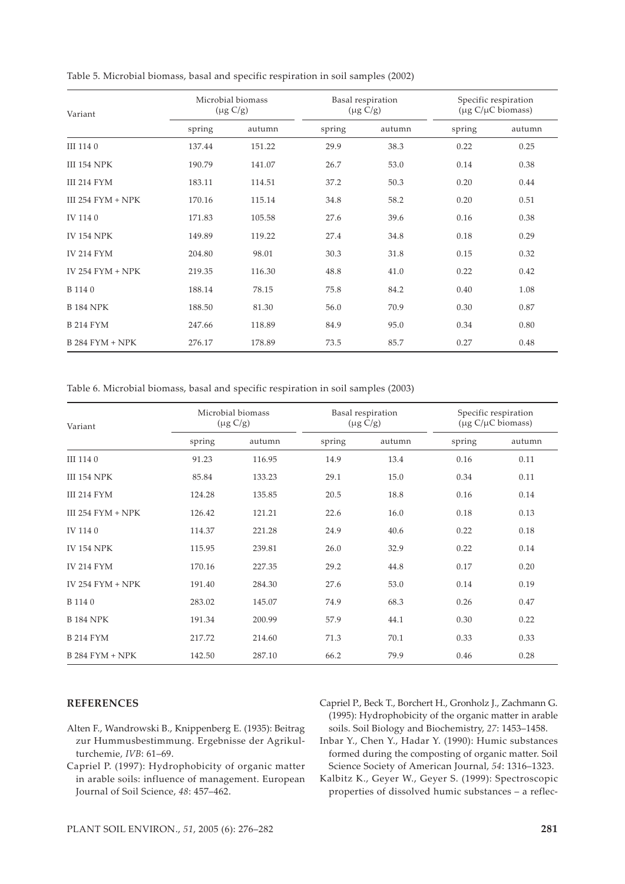| Variant                | Microbial biomass<br>$(\mu g C/g)$ |        | Basal respiration<br>$(\mu g C/g)$ |        | Specific respiration<br>(µg C/µC biomass) |        |
|------------------------|------------------------------------|--------|------------------------------------|--------|-------------------------------------------|--------|
|                        | spring                             | autumn | spring                             | autumn | spring                                    | autumn |
| III 1140               | 137.44                             | 151.22 | 29.9                               | 38.3   | 0.22                                      | 0.25   |
| <b>III 154 NPK</b>     | 190.79                             | 141.07 | 26.7                               | 53.0   | 0.14                                      | 0.38   |
| <b>III 214 FYM</b>     | 183.11                             | 114.51 | 37.2                               | 50.3   | 0.20                                      | 0.44   |
| III 254 $FYM + NPK$    | 170.16                             | 115.14 | 34.8                               | 58.2   | 0.20                                      | 0.51   |
| IV 1140                | 171.83                             | 105.58 | 27.6                               | 39.6   | 0.16                                      | 0.38   |
| <b>IV 154 NPK</b>      | 149.89                             | 119.22 | 27.4                               | 34.8   | 0.18                                      | 0.29   |
| <b>IV 214 FYM</b>      | 204.80                             | 98.01  | 30.3                               | 31.8   | 0.15                                      | 0.32   |
| IV 254 $FYM + NPK$     | 219.35                             | 116.30 | 48.8                               | 41.0   | 0.22                                      | 0.42   |
| B 114 0                | 188.14                             | 78.15  | 75.8                               | 84.2   | 0.40                                      | 1.08   |
| <b>B</b> 184 NPK       | 188.50                             | 81.30  | 56.0                               | 70.9   | 0.30                                      | 0.87   |
| <b>B214 FYM</b>        | 247.66                             | 118.89 | 84.9                               | 95.0   | 0.34                                      | 0.80   |
| <b>B 284 FYM + NPK</b> | 276.17                             | 178.89 | 73.5                               | 85.7   | 0.27                                      | 0.48   |

Table 5. Microbial biomass, basal and specific respiration in soil samples (2002)

Table 6. Microbial biomass, basal and specific respiration in soil samples (2003)

| Variant             | Microbial biomass<br>$(\mu g C/g)$ |        | Basal respiration<br>$(\mu g C/g)$ |        | Specific respiration<br>(µg C/µC biomass) |        |
|---------------------|------------------------------------|--------|------------------------------------|--------|-------------------------------------------|--------|
|                     | spring                             | autumn | spring                             | autumn | spring                                    | autumn |
| III 1140            | 91.23                              | 116.95 | 14.9                               | 13.4   | 0.16                                      | 0.11   |
| <b>III 154 NPK</b>  | 85.84                              | 133.23 | 29.1                               | 15.0   | 0.34                                      | 0.11   |
| III 214 FYM         | 124.28                             | 135.85 | 20.5                               | 18.8   | 0.16                                      | 0.14   |
| III 254 $FYM + NPK$ | 126.42                             | 121.21 | 22.6                               | 16.0   | 0.18                                      | 0.13   |
| IV 1140             | 114.37                             | 221.28 | 24.9                               | 40.6   | 0.22                                      | 0.18   |
| <b>IV 154 NPK</b>   | 115.95                             | 239.81 | 26.0                               | 32.9   | 0.22                                      | 0.14   |
| <b>IV 214 FYM</b>   | 170.16                             | 227.35 | 29.2                               | 44.8   | 0.17                                      | 0.20   |
| IV $254$ FYM + NPK  | 191.40                             | 284.30 | 27.6                               | 53.0   | 0.14                                      | 0.19   |
| B 114 0             | 283.02                             | 145.07 | 74.9                               | 68.3   | 0.26                                      | 0.47   |
| <b>B</b> 184 NPK    | 191.34                             | 200.99 | 57.9                               | 44.1   | 0.30                                      | 0.22   |
| <b>B214 FYM</b>     | 217.72                             | 214.60 | 71.3                               | 70.1   | 0.33                                      | 0.33   |
| $B$ 284 FYM + NPK   | 142.50                             | 287.10 | 66.2                               | 79.9   | 0.46                                      | 0.28   |

## **REFERENCES**

- Alten F., Wandrowski B., Knippenberg E. (1935): Beitrag zur Hummusbestimmung. Ergebnisse der Agrikulturchemie, *IVB*: 61–69.
- Capriel P. (1997): Hydrophobicity of organic matter in arable soils: influence of management. European Journal of Soil Science, *48*: 457–462.

Capriel P., Beck T., Borchert H., Gronholz J., Zachmann G. (1995): Hydrophobicity of the organic matter in arable soils. Soil Biology and Biochemistry, *27*: 1453–1458.

Inbar Y., Chen Y., Hadar Y. (1990): Humic substances formed during the composting of organic matter. Soil Science Society of American Journal, *54*: 1316–1323.

Kalbitz K., Geyer W., Geyer S. (1999): Spectroscopic properties of dissolved humic substances – a reflec